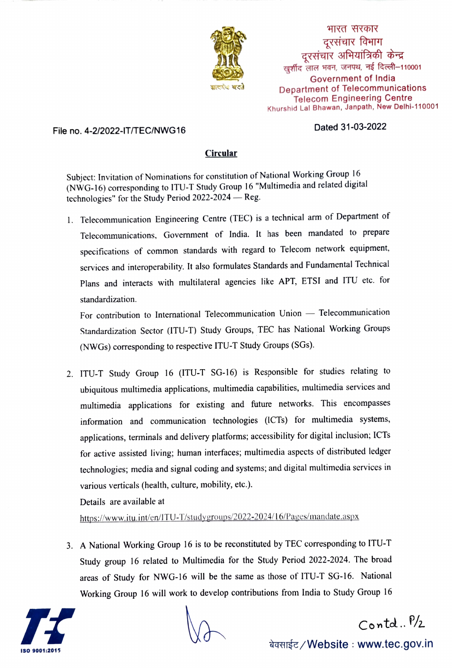

भारत सरकार - दूरसंचार विभाग<br>दूरसंचार अभियांत्रिकी केन्द्र खर्शीद लाल भवन, जनपथ, नई दिल्ली-110001 Government of India Department of Telecommunications Telecom Engineering Centre Khurshid Lal Bhawan, Janpath, New Delhi-110001

## Dated 31-03-2022 File no. 4-2/2022-IT/TEC/NWG16

## Circular

Subject: Invitation of Nominations for constitution of National Working Group 16 (NWG-16) corresponding to ITU-T Study Group 16 "Multimedia and related digital technologies" for the Study Period  $2022-2024$  - Reg.

1. Telecommunication Engineering Centre (TEC) is a technical arm of Department of Telecommunications, Government of India. It has been mandated to prepare specifications of common standards with regard to Telecom network equipment, services and interoperability. It also formulates Standards and Fundamental Technical Plans and interacts with multilateral agencies like APT, ETSI and ITU etc. for standardization.

For contribution to International Telecommunication Union - Telecommunication Standardization Sector (ITU-T) Study Groups, TEC has National Working Groups (NWGs) corresponding to respective ITU-T Study Groups (SGs).

2. ITU-T Study Group 16 (ITU-T SG-16) is Responsible for studies relating to ubiquitous multimedia applications, multimedia capabilities, multimedia services and multimedia applications for existing and future networks. This encompasses information and communication technologies (ICTs) for multimedia systems, applications, terminals and delivery platforms; accessibility for digital inclusion; ICTs for active assisted living; human interfaces; multimedia aspects of distributed ledger technologies; media and signal coding and systems; and digital multimedia services in various verticals (health, culture, mobility, etc.).

Details are available at

https://www.itu.int/en/ITU-T/studygroups/2022-2024/16/Pages/mandate.aspx

3. A National Working Group 16 is to be reconstituted by TEC corresponding to ITU-T Study group 16 related to Multimedia for the Study Period 2022-2024. The broad areas of Study for NWG-16 will be the same as those of ITU-T SG-16. National Working Group 16 will work to develop contributions from India to Study Group 16



 $Conted. P/2$ 

बेवसाईट */* Website : www.tec.gov.in